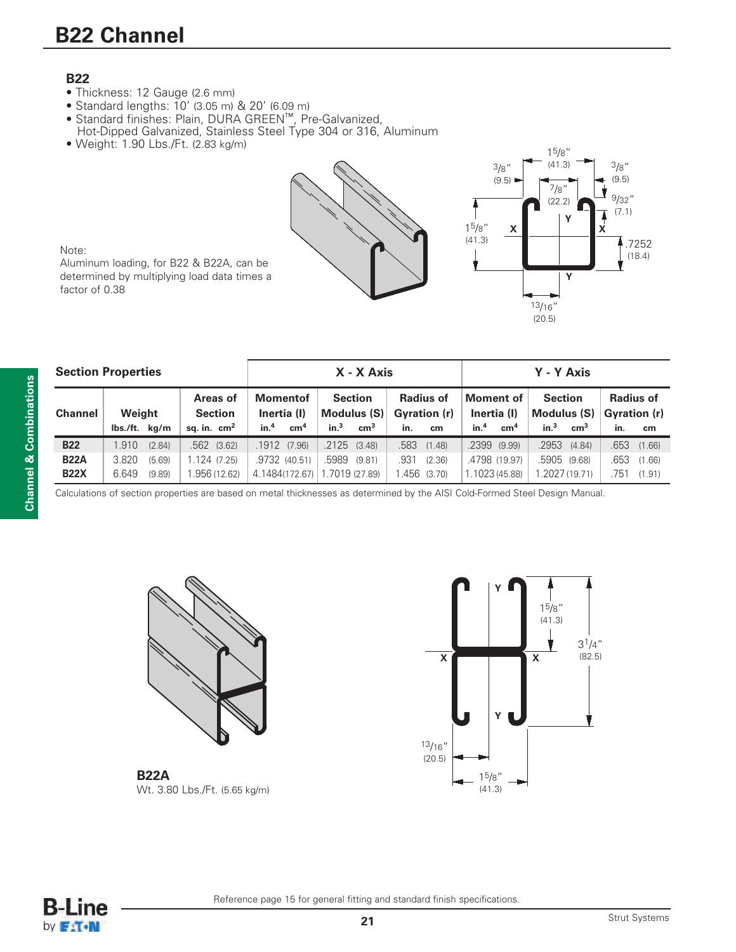# **B22 Channel**

### **B22**

- Thickness: 12 Gauge (2.6 mm)
- Standard lengths: 10' (3.05 m) & 20' (6.09 m)
- Standard finishes: Plain, DURA GREEN™, Pre-Galvanized, Hot-Dipped Galvanized, Stainless Steel Type 304 or 316, Aluminum
- Weight: 1.90 Lbs./Ft. (2.83 kg/m) 15/8"





Note:

Aluminum loading, for B22 & B22A, can be determined by multiplying load data times a factor of 0.38

| <b>Section Properties</b> |             |               |        |                            | X - X Axis                     |                 |                                 |                  |                                  |               | Y - Y Axis               |                 |                               |                  |                                  |           |
|---------------------------|-------------|---------------|--------|----------------------------|--------------------------------|-----------------|---------------------------------|------------------|----------------------------------|---------------|--------------------------|-----------------|-------------------------------|------------------|----------------------------------|-----------|
| <b>Channel</b>            |             | Weight        |        | Areas of<br><b>Section</b> | <b>Momentof</b><br>Inertia (I) |                 | <b>Section</b><br>Modulus $(S)$ |                  | <b>Radius of</b><br>Gyration (r) |               | Moment of<br>Inertia (I) |                 | <b>Section</b><br>Modulus (S) |                  | <b>Radius of</b><br>Gyration (r) |           |
|                           |             | lbs./ft. kg/m |        | sq. in. $cm2$              | in. <sup>4</sup>               | cm <sup>4</sup> | in. <sup>3</sup>                | $\text{cm}^3$    | in.                              | cm            | in. <sup>4</sup>         | cm <sup>4</sup> | in. <sup>3</sup>              | $\text{cm}^3$    | in.                              | <b>cm</b> |
| <b>B22</b>                |             | 1.910         | (2.84) | $.562$ $(3.62)$            |                                | .1912 (7.96)    |                                 | $.2125$ $(3.48)$ |                                  | .583 (1.48)   | $.2399$ $(9.99)$         |                 |                               | $.2953$ $(4.84)$ | .653                             | (1.66)    |
|                           | <b>B22A</b> | 3.820         | (5.69) | 1.124 (7.25)               |                                | .9732 (40.51)   |                                 | .5989 (9.81)     | .931                             | (2.36)        |                          | .4798 (19.97)   | .5905 (9.68)                  |                  | .653                             | (1.66)    |
|                           | <b>B22X</b> | 6.649         | (9.89) | 1.956 (12.62)              |                                | 4.1484(172.67)  | 1.7019 (27.89)                  |                  |                                  | $.456$ (3.70) | 1.1023 (45.88)           |                 |                               | .2027 (19.71)    | .751                             | (1.91)    |

Calculations of section properties are based on metal thicknesses as determined by the AISI Cold-Formed Steel Design Manual.



**B22A** Wt. 3.80 Lbs./Ft. (5.65 kg/m)





Reference page 15 for general fitting and standard finish specifications.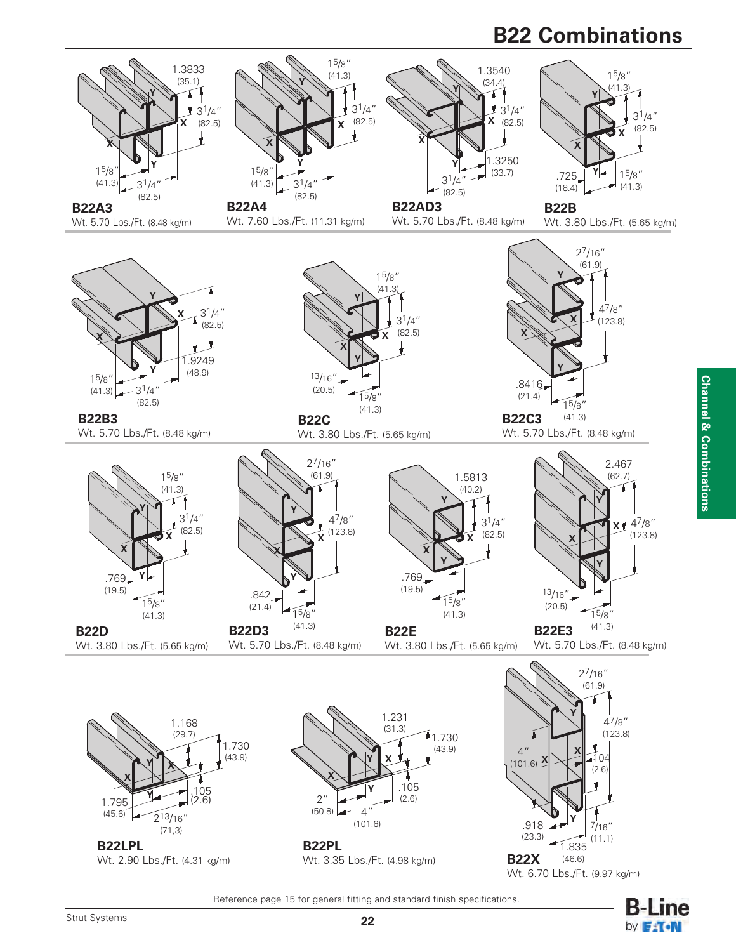## **B22 Combinations**



Reference page 15 for general fitting and standard finish specifications.

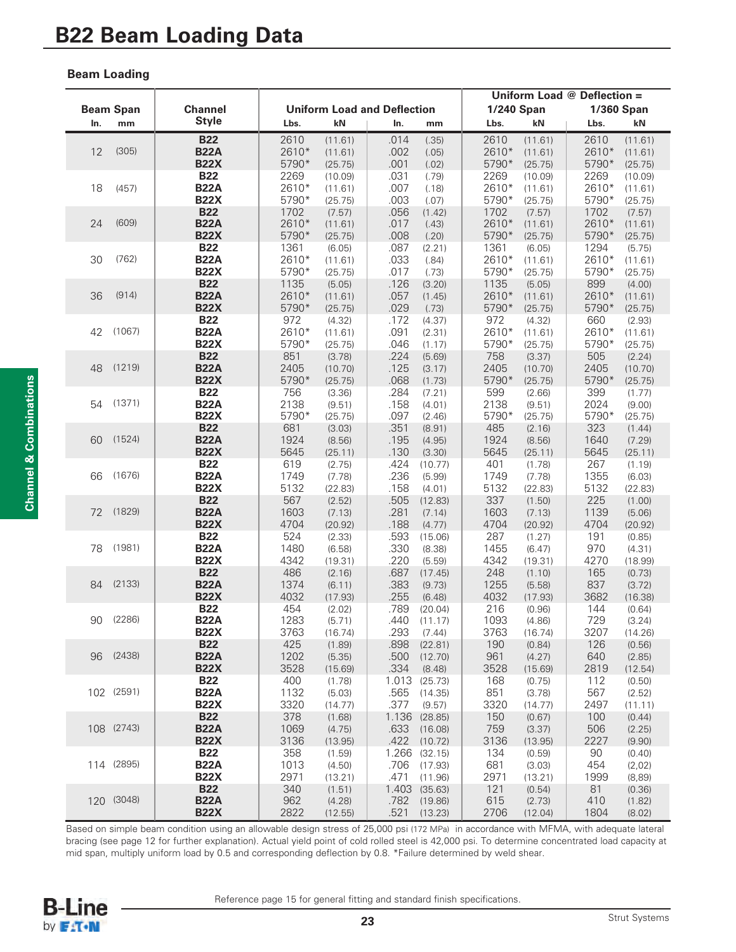### **Beam Loading**

|     |                  |                            |               |                   |                                    |                   | Uniform Load @ Deflection =            |                   |                |                   |  |
|-----|------------------|----------------------------|---------------|-------------------|------------------------------------|-------------------|----------------------------------------|-------------------|----------------|-------------------|--|
|     | <b>Beam Span</b> | <b>Channel</b>             |               |                   | <b>Uniform Load and Deflection</b> |                   | <b>1/240 Span</b><br><b>1/360 Span</b> |                   |                |                   |  |
| In. | mm               | <b>Style</b>               | Lbs.          | kN                | In.                                | mm                | Lbs.                                   | kN                | Lbs.           | kN                |  |
|     |                  | <b>B22</b>                 | 2610          | (11.61)           | .014                               | (.35)             | 2610                                   | (11.61)           | 2610           | (11.61)           |  |
| 12  | (305)            | <b>B22A</b>                | 2610*         | (11.61)           | .002                               | (.05)             | 2610*                                  | (11.61)           | 2610*          | (11.61)           |  |
|     |                  | <b>B22X</b>                | 5790*         | (25.75)           | .001                               | (.02)             | 5790*                                  | (25.75)           | 5790*          | (25.75)           |  |
|     |                  | <b>B22</b>                 | 2269          | (10.09)           | .031                               | (.79)             | 2269                                   | (10.09)           | 2269           | (10.09)           |  |
| 18  | (457)            | <b>B22A</b>                | 2610*         | (11.61)           | .007                               | (.18)             | 2610*                                  | (11.61)           | 2610*          | (11.61)           |  |
|     |                  | <b>B22X</b>                | 5790*         | (25.75)           | .003                               | (.07)             | 5790*                                  | (25.75)           | 5790*          | (25.75)           |  |
| 24  | (609)            | <b>B22</b><br><b>B22A</b>  | 1702<br>2610* | (7.57)<br>(11.61) | .056<br>.017                       | (1.42)<br>(.43)   | 1702<br>2610*                          | (7.57)<br>(11.61) | 1702<br>2610*  | (7.57)<br>(11.61) |  |
|     |                  | <b>B22X</b>                | 5790*         | (25.75)           | .008                               | (.20)             | 5790*                                  | (25.75)           | 5790*          | (25.75)           |  |
|     |                  | <b>B22</b>                 | 1361          | (6.05)            | .087                               | (2.21)            | 1361                                   | (6.05)            | 1294           | (5.75)            |  |
| 30  | (762)            | <b>B22A</b>                | 2610*         | (11.61)           | .033                               | (.84)             | 2610*                                  | (11.61)           | 2610*          | (11.61)           |  |
|     |                  | <b>B22X</b>                | 5790*         | (25.75)           | .017                               | (.73)             | 5790*                                  | (25.75)           | 5790*          | (25.75)           |  |
|     |                  | <b>B22</b>                 | 1135          | (5.05)            | .126                               | (3.20)            | 1135                                   | (5.05)            | 899            | (4.00)            |  |
| 36  | (914)            | <b>B22A</b>                | 2610*         | (11.61)           | .057                               | (1.45)            | 2610*                                  | (11.61)           | 2610*          | (11.61)           |  |
|     |                  | <b>B22X</b>                | 5790*         | (25.75)           | .029                               | (.73)             | 5790*                                  | (25.75)           | 5790*          | (25.75)           |  |
|     |                  | <b>B22</b>                 | 972           | (4.32)            | .172                               | (4.37)            | 972                                    | (4.32)            | 660            | (2.93)            |  |
| 42  | (1067)           | <b>B22A</b><br><b>B22X</b> | 2610*         | (11.61)           | .091                               | (2.31)            | 2610*                                  | (11.61)           | 2610*<br>5790* | (11.61)           |  |
|     |                  | <b>B22</b>                 | 5790*<br>851  | (25.75)<br>(3.78) | .046<br>.224                       | (1.17)<br>(5.69)  | 5790*<br>758                           | (25.75)<br>(3.37) | 505            | (25.75)<br>(2.24) |  |
| 48  | (1219)           | <b>B22A</b>                | 2405          | (10.70)           | .125                               | (3.17)            | 2405                                   | (10.70)           | 2405           | (10.70)           |  |
|     |                  | <b>B22X</b>                | 5790*         | (25.75)           | .068                               | (1.73)            | 5790*                                  | (25.75)           | 5790*          | (25.75)           |  |
|     |                  | <b>B22</b>                 | 756           | (3.36)            | .284                               | (7.21)            | 599                                    | (2.66)            | 399            | (1.77)            |  |
| 54  | (1371)           | <b>B22A</b>                | 2138          | (9.51)            | .158                               | (4.01)            | 2138                                   | (9.51)            | 2024           | (9.00)            |  |
|     |                  | <b>B22X</b>                | 5790*         | (25.75)           | .097                               | (2.46)            | 5790*                                  | (25.75)           | 5790*          | (25.75)           |  |
|     |                  | <b>B22</b>                 | 681           | (3.03)            | .351                               | (8.91)            | 485                                    | (2.16)            | 323            | (1.44)            |  |
| 60  | (1524)           | <b>B22A</b>                | 1924          | (8.56)            | .195                               | (4.95)            | 1924                                   | (8.56)            | 1640           | (7.29)            |  |
|     |                  | <b>B22X</b>                | 5645          | (25.11)           | .130                               | (3.30)            | 5645                                   | (25.11)           | 5645           | (25.11)           |  |
| 66  | (1676)           | <b>B22</b><br><b>B22A</b>  | 619<br>1749   | (2.75)<br>(7.78)  | .424<br>.236                       | (10.77)<br>(5.99) | 401<br>1749                            | (1.78)<br>(7.78)  | 267<br>1355    | (1.19)<br>(6.03)  |  |
|     |                  | <b>B22X</b>                | 5132          | (22.83)           | .158                               | (4.01)            | 5132                                   | (22.83)           | 5132           | (22.83)           |  |
|     |                  | <b>B22</b>                 | 567           | (2.52)            | .505                               | (12.83)           | 337                                    | (1.50)            | 225            | (1.00)            |  |
| 72  | (1829)           | <b>B22A</b>                | 1603          | (7.13)            | .281                               | (7.14)            | 1603                                   | (7.13)            | 1139           | (5.06)            |  |
|     |                  | <b>B22X</b>                | 4704          | (20.92)           | .188                               | (4.77)            | 4704                                   | (20.92)           | 4704           | (20.92)           |  |
|     |                  | <b>B22</b>                 | 524           | (2.33)            | .593                               | (15.06)           | 287                                    | (1.27)            | 191            | (0.85)            |  |
| 78  | (1981)           | <b>B22A</b>                | 1480          | (6.58)            | .330                               | (8.38)            | 1455                                   | (6.47)            | 970            | (4.31)            |  |
|     |                  | <b>B22X</b>                | 4342          | (19.31)           | .220                               | (5.59)            | 4342                                   | (19.31)           | 4270           | (18.99)           |  |
| 84  | (2133)           | <b>B22</b><br><b>B22A</b>  | 486<br>1374   | (2.16)<br>(6.11)  | .687<br>.383                       | (17.45)<br>(9.73) | 248<br>1255                            | (1.10)<br>(5.58)  | 165<br>837     | (0.73)<br>(3.72)  |  |
|     |                  | <b>B22X</b>                | 4032          | (17.93)           | .255                               | (6.48)            | 4032                                   | (17.93)           | 3682           | (16.38)           |  |
|     |                  | <b>B22</b>                 | 454           | (2.02)            | .789                               | (20.04)           | 216                                    | (0.96)            | 144            | (0.64)            |  |
| 90  | (2286)           | <b>B22A</b>                | 1283          | (5.71)            | .440                               | (11.17)           | 1093                                   | (4.86)            | 729            | (3.24)            |  |
|     |                  | <b>B22X</b>                | 3763          | (16.74)           | .293                               | (7.44)            | 3763                                   | (16.74)           | 3207           | (14.26)           |  |
|     |                  | <b>B22</b>                 | 425           | (1.89)            | .898                               | (22.81)           | 190                                    | (0.84)            | 126            | (0.56)            |  |
| 96  | (2438)           | <b>B22A</b>                | 1202          | (5.35)            | .500                               | (12.70)           | 961                                    | (4.27)            | 640            | (2.85)            |  |
|     |                  | <b>B22X</b>                | 3528          | (15.69)           | .334                               | (8.48)            | 3528                                   | (15.69)           | 2819           | (12.54)           |  |
|     | 102 (2591)       | <b>B22</b><br><b>B22A</b>  | 400           | (1.78)            | 1.013                              | (25.73)           | 168                                    | (0.75)            | 112            | (0.50)            |  |
|     |                  | <b>B22X</b>                | 1132<br>3320  | (5.03)<br>(14.77) | .565<br>.377                       | (14.35)           | 851<br>3320                            | (3.78)            | 567<br>2497    | (2.52)            |  |
|     |                  | <b>B22</b>                 | 378           | (1.68)            | 1.136                              | (9.57)<br>(28.85) | 150                                    | (14.77)<br>(0.67) | 100            | (11.11)<br>(0.44) |  |
|     | 108 (2743)       | <b>B22A</b>                | 1069          | (4.75)            | .633                               | (16.08)           | 759                                    | (3.37)            | 506            | (2.25)            |  |
|     |                  | <b>B22X</b>                | 3136          | (13.95)           | .422                               | (10.72)           | 3136                                   | (13.95)           | 2227           | (9.90)            |  |
|     |                  | <b>B22</b>                 | 358           | (1.59)            | 1.266                              | (32.15)           | 134                                    | (0.59)            | 90             | (0.40)            |  |
|     | 114 (2895)       | <b>B22A</b>                | 1013          | (4.50)            | .706                               | (17.93)           | 681                                    | (3.03)            | 454            | (2,02)            |  |
|     |                  | <b>B22X</b>                | 2971          | (13.21)           | .471                               | (11.96)           | 2971                                   | (13.21)           | 1999           | (8, 89)           |  |
|     |                  | <b>B22</b>                 | 340           | (1.51)            | 1.403                              | (35.63)           | 121                                    | (0.54)            | 81             | (0.36)            |  |
|     | 120 (3048)       | <b>B22A</b><br><b>B22X</b> | 962<br>2822   | (4.28)            | .782<br>.521                       | (19.86)           | 615<br>2706                            | (2.73)            | 410<br>1804    | (1.82)            |  |
|     |                  |                            |               | (12.55)           |                                    | (13.23)           |                                        | (12.04)           |                | (8.02)            |  |

Based on simple beam condition using an allowable design stress of 25,000 psi (172 MPa) in accordance with MFMA, with adequate lateral bracing (see page 12 for further explanation). Actual yield point of cold rolled steel is 42,000 psi. To determine concentrated load capacity at mid span, multiply uniform load by 0.5 and corresponding deflection by 0.8. \*Failure determined by weld shear.



Reference page 15 for general fitting and standard finish specifications.